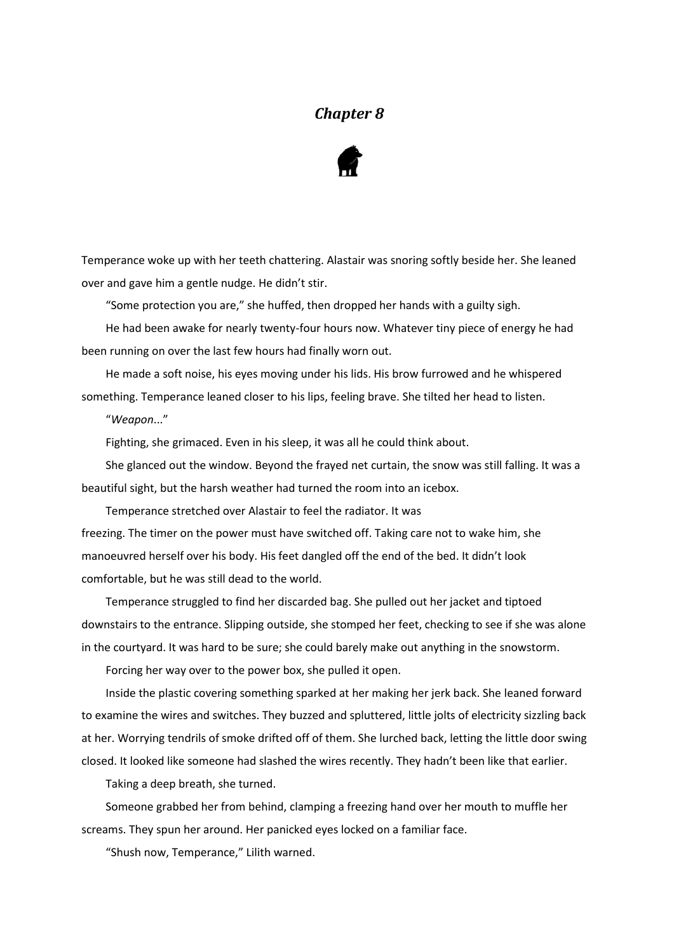## *Chapter 8*



Temperance woke up with her teeth chattering. Alastair was snoring softly beside her. She leaned over and gave him a gentle nudge. He didn't stir.

"Some protection you are," she huffed, then dropped her hands with a guilty sigh.

He had been awake for nearly twenty-four hours now. Whatever tiny piece of energy he had been running on over the last few hours had finally worn out.

He made a soft noise, his eyes moving under his lids. His brow furrowed and he whispered something. Temperance leaned closer to his lips, feeling brave. She tilted her head to listen.

"*Weapon*..."

Fighting, she grimaced. Even in his sleep, it was all he could think about.

She glanced out the window. Beyond the frayed net curtain, the snow was still falling. It was a beautiful sight, but the harsh weather had turned the room into an icebox.

Temperance stretched over Alastair to feel the radiator. It was freezing. The timer on the power must have switched off. Taking care not to wake him, she manoeuvred herself over his body. His feet dangled off the end of the bed. It didn't look comfortable, but he was still dead to the world.

Temperance struggled to find her discarded bag. She pulled out her jacket and tiptoed downstairs to the entrance. Slipping outside, she stomped her feet, checking to see if she was alone in the courtyard. It was hard to be sure; she could barely make out anything in the snowstorm.

Forcing her way over to the power box, she pulled it open.

Inside the plastic covering something sparked at her making her jerk back. She leaned forward to examine the wires and switches. They buzzed and spluttered, little jolts of electricity sizzling back at her. Worrying tendrils of smoke drifted off of them. She lurched back, letting the little door swing closed. It looked like someone had slashed the wires recently. They hadn't been like that earlier.

Taking a deep breath, she turned.

Someone grabbed her from behind, clamping a freezing hand over her mouth to muffle her screams. They spun her around. Her panicked eyes locked on a familiar face.

"Shush now, Temperance," Lilith warned.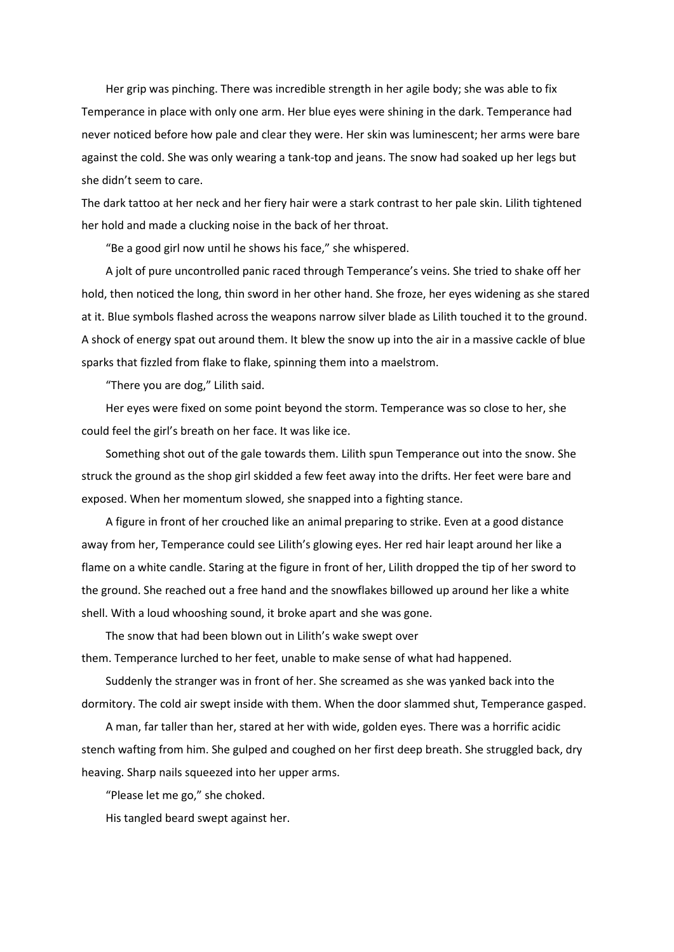Her grip was pinching. There was incredible strength in her agile body; she was able to fix Temperance in place with only one arm. Her blue eyes were shining in the dark. Temperance had never noticed before how pale and clear they were. Her skin was luminescent; her arms were bare against the cold. She was only wearing a tank-top and jeans. The snow had soaked up her legs but she didn't seem to care.

The dark tattoo at her neck and her fiery hair were a stark contrast to her pale skin. Lilith tightened her hold and made a clucking noise in the back of her throat.

"Be a good girl now until he shows his face," she whispered.

A jolt of pure uncontrolled panic raced through Temperance's veins. She tried to shake off her hold, then noticed the long, thin sword in her other hand. She froze, her eyes widening as she stared at it. Blue symbols flashed across the weapons narrow silver blade as Lilith touched it to the ground. A shock of energy spat out around them. It blew the snow up into the air in a massive cackle of blue sparks that fizzled from flake to flake, spinning them into a maelstrom.

"There you are dog," Lilith said.

Her eyes were fixed on some point beyond the storm. Temperance was so close to her, she could feel the girl's breath on her face. It was like ice.

Something shot out of the gale towards them. Lilith spun Temperance out into the snow. She struck the ground as the shop girl skidded a few feet away into the drifts. Her feet were bare and exposed. When her momentum slowed, she snapped into a fighting stance.

A figure in front of her crouched like an animal preparing to strike. Even at a good distance away from her, Temperance could see Lilith's glowing eyes. Her red hair leapt around her like a flame on a white candle. Staring at the figure in front of her, Lilith dropped the tip of her sword to the ground. She reached out a free hand and the snowflakes billowed up around her like a white shell. With a loud whooshing sound, it broke apart and she was gone.

The snow that had been blown out in Lilith's wake swept over them. Temperance lurched to her feet, unable to make sense of what had happened.

Suddenly the stranger was in front of her. She screamed as she was yanked back into the dormitory. The cold air swept inside with them. When the door slammed shut, Temperance gasped.

A man, far taller than her, stared at her with wide, golden eyes. There was a horrific acidic stench wafting from him. She gulped and coughed on her first deep breath. She struggled back, dry heaving. Sharp nails squeezed into her upper arms.

"Please let me go," she choked.

His tangled beard swept against her.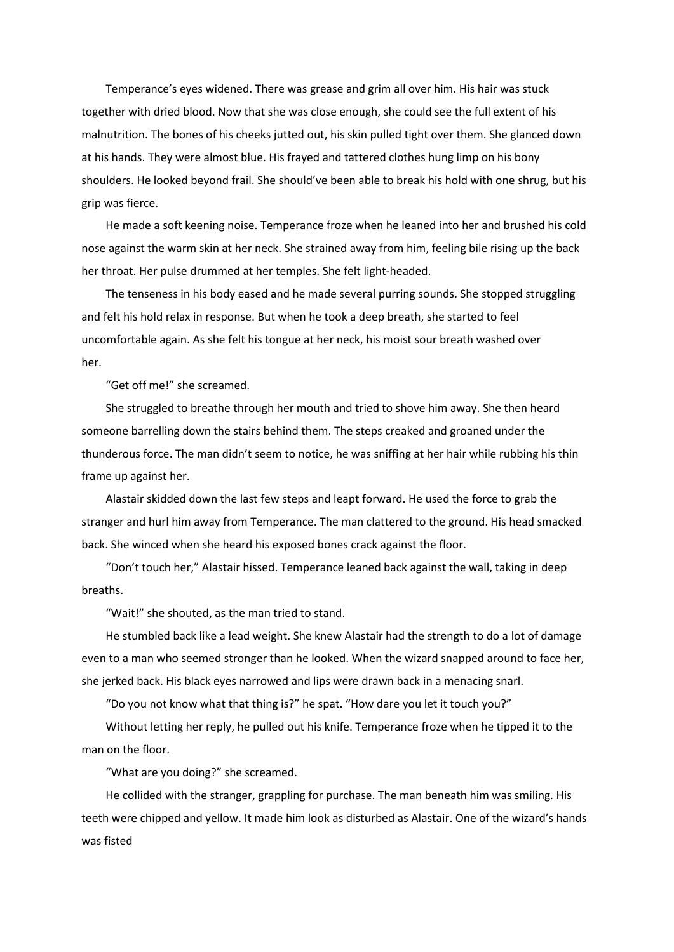Temperance's eyes widened. There was grease and grim all over him. His hair was stuck together with dried blood. Now that she was close enough, she could see the full extent of his malnutrition. The bones of his cheeks jutted out, his skin pulled tight over them. She glanced down at his hands. They were almost blue. His frayed and tattered clothes hung limp on his bony shoulders. He looked beyond frail. She should've been able to break his hold with one shrug, but his grip was fierce.

He made a soft keening noise. Temperance froze when he leaned into her and brushed his cold nose against the warm skin at her neck. She strained away from him, feeling bile rising up the back her throat. Her pulse drummed at her temples. She felt light-headed.

The tenseness in his body eased and he made several purring sounds. She stopped struggling and felt his hold relax in response. But when he took a deep breath, she started to feel uncomfortable again. As she felt his tongue at her neck, his moist sour breath washed over her.

"Get off me!" she screamed.

She struggled to breathe through her mouth and tried to shove him away. She then heard someone barrelling down the stairs behind them. The steps creaked and groaned under the thunderous force. The man didn't seem to notice, he was sniffing at her hair while rubbing his thin frame up against her.

Alastair skidded down the last few steps and leapt forward. He used the force to grab the stranger and hurl him away from Temperance. The man clattered to the ground. His head smacked back. She winced when she heard his exposed bones crack against the floor.

"Don't touch her," Alastair hissed. Temperance leaned back against the wall, taking in deep breaths.

"Wait!" she shouted, as the man tried to stand.

He stumbled back like a lead weight. She knew Alastair had the strength to do a lot of damage even to a man who seemed stronger than he looked. When the wizard snapped around to face her, she jerked back. His black eyes narrowed and lips were drawn back in a menacing snarl.

"Do you not know what that thing is?" he spat. "How dare you let it touch you?"

Without letting her reply, he pulled out his knife. Temperance froze when he tipped it to the man on the floor.

"What are you doing?" she screamed.

He collided with the stranger, grappling for purchase. The man beneath him was smiling. His teeth were chipped and yellow. It made him look as disturbed as Alastair. One of the wizard's hands was fisted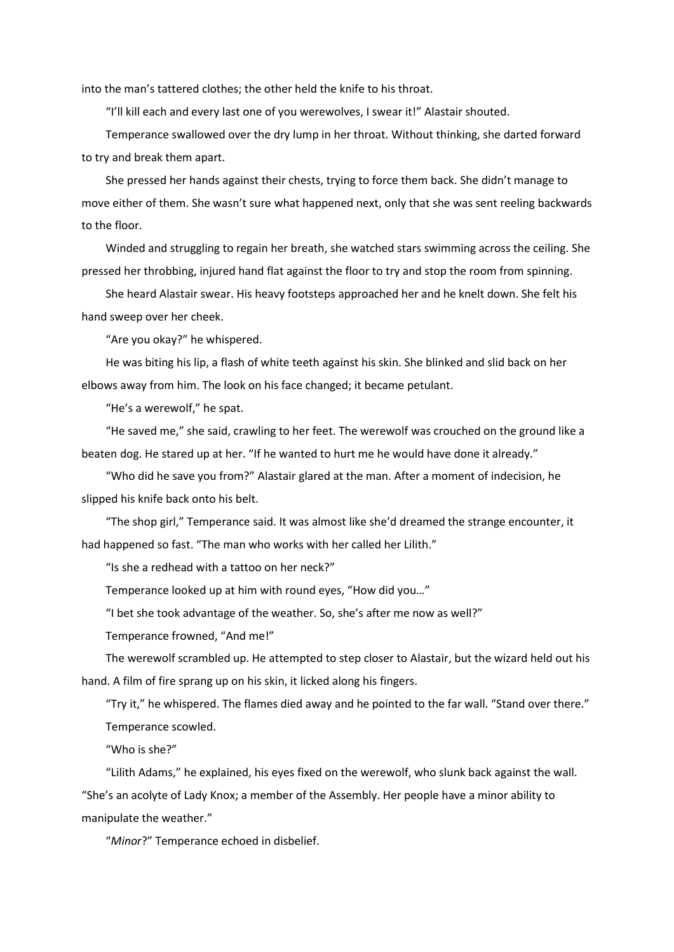into the man's tattered clothes; the other held the knife to his throat.

"I'll kill each and every last one of you werewolves, I swear it!" Alastair shouted.

Temperance swallowed over the dry lump in her throat. Without thinking, she darted forward to try and break them apart.

She pressed her hands against their chests, trying to force them back. She didn't manage to move either of them. She wasn't sure what happened next, only that she was sent reeling backwards to the floor.

Winded and struggling to regain her breath, she watched stars swimming across the ceiling. She pressed her throbbing, injured hand flat against the floor to try and stop the room from spinning.

She heard Alastair swear. His heavy footsteps approached her and he knelt down. She felt his hand sweep over her cheek.

"Are you okay?" he whispered.

He was biting his lip, a flash of white teeth against his skin. She blinked and slid back on her elbows away from him. The look on his face changed; it became petulant.

"He's a werewolf," he spat.

"He saved me," she said, crawling to her feet. The werewolf was crouched on the ground like a beaten dog. He stared up at her. "If he wanted to hurt me he would have done it already."

"Who did he save you from?" Alastair glared at the man. After a moment of indecision, he slipped his knife back onto his belt.

"The shop girl," Temperance said. It was almost like she'd dreamed the strange encounter, it had happened so fast. "The man who works with her called her Lilith."

"Is she a redhead with a tattoo on her neck?"

Temperance looked up at him with round eyes, "How did you…"

"I bet she took advantage of the weather. So, she's after me now as well?"

Temperance frowned, "And me!"

The werewolf scrambled up. He attempted to step closer to Alastair, but the wizard held out his hand. A film of fire sprang up on his skin, it licked along his fingers.

"Try it," he whispered. The flames died away and he pointed to the far wall. "Stand over there." Temperance scowled.

"Who is she?"

"Lilith Adams," he explained, his eyes fixed on the werewolf, who slunk back against the wall. "She's an acolyte of Lady Knox; a member of the Assembly. Her people have a minor ability to manipulate the weather."

"*Minor*?" Temperance echoed in disbelief.